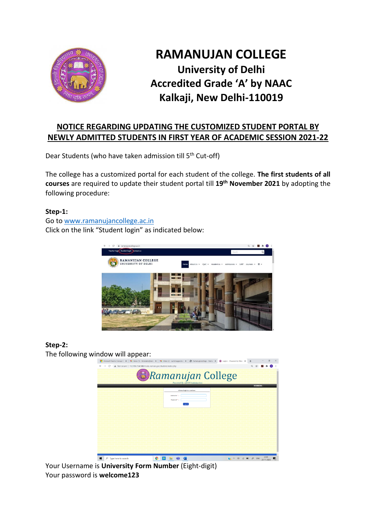

# **RAMANUJAN COLLEGE University of Delhi Accredited Grade 'A' by NAAC Kalkaji, New Delhi-110019**

## **NOTICE REGARDING UPDATING THE CUSTOMIZED STUDENT PORTAL BY NEWLY ADMITTED STUDENTS IN FIRST YEAR OF ACADEMIC SESSION 2021-22**

Dear Students (who have taken admission till 5<sup>th</sup> Cut-off)

The college has a customized portal for each student of the college. **The first students of all courses** are required to update their student portal till **19th November 2021** by adopting the following procedure:

#### **Step-1:**

Go t[o www.ramanujancollege.ac.in](http://www.ramanujancollege.ac.in/) Click on the link "Student login" as indicated below:



### **Step-2:**

The following window will appear:



Your Username is **University Form Number** (Eight-digit) Your password is **welcome123**